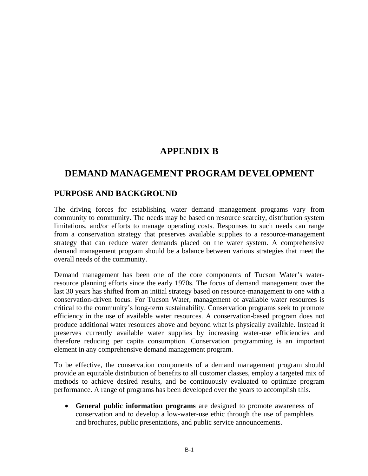# **APPENDIX B**

# **DEMAND MANAGEMENT PROGRAM DEVELOPMENT**

### **PURPOSE AND BACKGROUND**

The driving forces for establishing water demand management programs vary from community to community. The needs may be based on resource scarcity, distribution system limitations, and/or efforts to manage operating costs. Responses to such needs can range from a conservation strategy that preserves available supplies to a resource-management strategy that can reduce water demands placed on the water system. A comprehensive demand management program should be a balance between various strategies that meet the overall needs of the community.

Demand management has been one of the core components of Tucson Water's waterresource planning efforts since the early 1970s. The focus of demand management over the last 30 years has shifted from an initial strategy based on resource-management to one with a conservation-driven focus. For Tucson Water, management of available water resources is critical to the community's long-term sustainability. Conservation programs seek to promote efficiency in the use of available water resources. A conservation-based program does not produce additional water resources above and beyond what is physically available. Instead it preserves currently available water supplies by increasing water-use efficiencies and therefore reducing per capita consumption. Conservation programming is an important element in any comprehensive demand management program.

To be effective, the conservation components of a demand management program should provide an equitable distribution of benefits to all customer classes, employ a targeted mix of methods to achieve desired results, and be continuously evaluated to optimize program performance. A range of programs has been developed over the years to accomplish this.

• **General public information programs** are designed to promote awareness of conservation and to develop a low-water-use ethic through the use of pamphlets and brochures, public presentations, and public service announcements.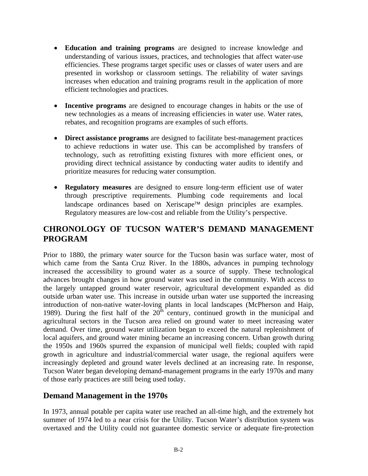- **Education and training programs** are designed to increase knowledge and understanding of various issues, practices, and technologies that affect water-use efficiencies. These programs target specific uses or classes of water users and are presented in workshop or classroom settings. The reliability of water savings increases when education and training programs result in the application of more efficient technologies and practices.
- **Incentive programs** are designed to encourage changes in habits or the use of new technologies as a means of increasing efficiencies in water use. Water rates, rebates, and recognition programs are examples of such efforts.
- **Direct assistance programs** are designed to facilitate best-management practices to achieve reductions in water use. This can be accomplished by transfers of technology, such as retrofitting existing fixtures with more efficient ones, or providing direct technical assistance by conducting water audits to identify and prioritize measures for reducing water consumption.
- **Regulatory measures** are designed to ensure long-term efficient use of water through prescriptive requirements. Plumbing code requirements and local landscape ordinances based on Xeriscape™ design principles are examples. Regulatory measures are low-cost and reliable from the Utility's perspective.

## **CHRONOLOGY OF TUCSON WATER'S DEMAND MANAGEMENT PROGRAM**

Prior to 1880, the primary water source for the Tucson basin was surface water, most of which came from the Santa Cruz River. In the 1880s, advances in pumping technology increased the accessibility to ground water as a source of supply. These technological advances brought changes in how ground water was used in the community. With access to the largely untapped ground water reservoir, agricultural development expanded as did outside urban water use. This increase in outside urban water use supported the increasing introduction of non-native water-loving plants in local landscapes (McPherson and Haip, 1989). During the first half of the  $20^{th}$  century, continued growth in the municipal and agricultural sectors in the Tucson area relied on ground water to meet increasing water demand. Over time, ground water utilization began to exceed the natural replenishment of local aquifers, and ground water mining became an increasing concern. Urban growth during the 1950s and 1960s spurred the expansion of municipal well fields; coupled with rapid growth in agriculture and industrial/commercial water usage, the regional aquifers were increasingly depleted and ground water levels declined at an increasing rate. In response, Tucson Water began developing demand-management programs in the early 1970s and many of those early practices are still being used today.

## **Demand Management in the 1970s**

In 1973, annual potable per capita water use reached an all-time high, and the extremely hot summer of 1974 led to a near crisis for the Utility. Tucson Water's distribution system was overtaxed and the Utility could not guarantee domestic service or adequate fire-protection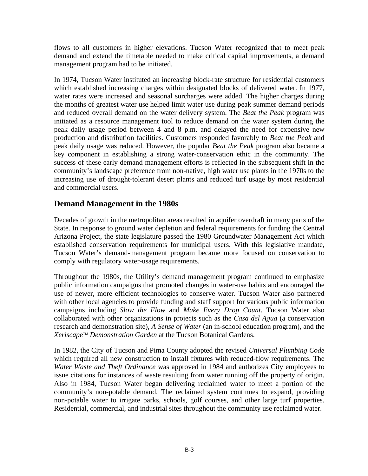flows to all customers in higher elevations. Tucson Water recognized that to meet peak demand and extend the timetable needed to make critical capital improvements, a demand management program had to be initiated.

In 1974, Tucson Water instituted an increasing block-rate structure for residential customers which established increasing charges within designated blocks of delivered water. In 1977, water rates were increased and seasonal surcharges were added. The higher charges during the months of greatest water use helped limit water use during peak summer demand periods and reduced overall demand on the water delivery system. The *Beat the Peak* program was initiated as a resource management tool to reduce demand on the water system during the peak daily usage period between 4 and 8 p.m. and delayed the need for expensive new production and distribution facilities. Customers responded favorably to *Beat the Peak* and peak daily usage was reduced. However, the popular *Beat the Peak* program also became a key component in establishing a strong water-conservation ethic in the community. The success of these early demand management efforts is reflected in the subsequent shift in the community's landscape preference from non-native, high water use plants in the 1970s to the increasing use of drought-tolerant desert plants and reduced turf usage by most residential and commercial users.

## **Demand Management in the 1980s**

Decades of growth in the metropolitan areas resulted in aquifer overdraft in many parts of the State. In response to ground water depletion and federal requirements for funding the Central Arizona Project, the state legislature passed the 1980 Groundwater Management Act which established conservation requirements for municipal users. With this legislative mandate, Tucson Water's demand-management program became more focused on conservation to comply with regulatory water-usage requirements.

Throughout the 1980s, the Utility's demand management program continued to emphasize public information campaigns that promoted changes in water-use habits and encouraged the use of newer, more efficient technologies to conserve water. Tucson Water also partnered with other local agencies to provide funding and staff support for various public information campaigns including *Slow the Flow* and *Make Every Drop Count*. Tucson Water also collaborated with other organizations in projects such as the *Casa del Agua* (a conservation research and demonstration site), *A Sense of Water* (an in-school education program), and the *Xeriscape*™ *Demonstration Garden* at the Tucson Botanical Gardens.

In 1982, the City of Tucson and Pima County adopted the revised *Universal Plumbing Code* which required all new construction to install fixtures with reduced-flow requirements. The *Water Waste and Theft Ordinance* was approved in 1984 and authorizes City employees to issue citations for instances of waste resulting from water running off the property of origin. Also in 1984, Tucson Water began delivering reclaimed water to meet a portion of the community's non-potable demand. The reclaimed system continues to expand, providing non-potable water to irrigate parks, schools, golf courses, and other large turf properties. Residential, commercial, and industrial sites throughout the community use reclaimed water.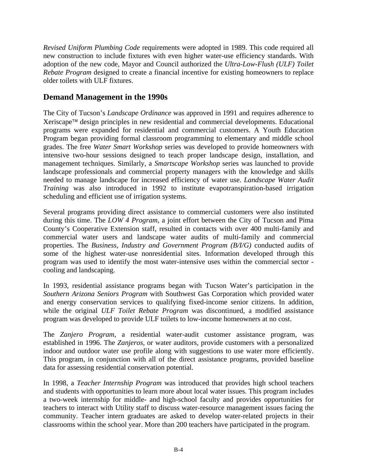*Revised Uniform Plumbing Code* requirements were adopted in 1989. This code required all new construction to include fixtures with even higher water-use efficiency standards. With adoption of the new code, Mayor and Council authorized the *Ultra-Low-Flush (ULF) Toilet Rebate Program* designed to create a financial incentive for existing homeowners to replace older toilets with ULF fixtures.

## **Demand Management in the 1990s**

The City of Tucson's *Landscape Ordinance* was approved in 1991 and requires adherence to Xeriscape™ design principles in new residential and commercial developments. Educational programs were expanded for residential and commercial customers. A Youth Education Program began providing formal classroom programming to elementary and middle school grades. The free *Water Smart Workshop* series was developed to provide homeowners with intensive two-hour sessions designed to teach proper landscape design, installation, and management techniques. Similarly, a *Smartscape Workshop* series was launched to provide landscape professionals and commercial property managers with the knowledge and skills needed to manage landscape for increased efficiency of water use. *Landscape Water Audit Training* was also introduced in 1992 to institute evapotranspiration-based irrigation scheduling and efficient use of irrigation systems.

Several programs providing direct assistance to commercial customers were also instituted during this time. The *LOW 4 Program*, a joint effort between the City of Tucson and Pima County's Cooperative Extension staff, resulted in contacts with over 400 multi-family and commercial water users and landscape water audits of multi-family and commercial properties. The *Business, Industry and Government Program (B/I/G)* conducted audits of some of the highest water-use nonresidential sites. Information developed through this program was used to identify the most water-intensive uses within the commercial sector cooling and landscaping.

In 1993, residential assistance programs began with Tucson Water's participation in the *Southern Arizona Seniors Program* with Southwest Gas Corporation which provided water and energy conservation services to qualifying fixed-income senior citizens. In addition, while the original *ULF Toilet Rebate Program* was discontinued, a modified assistance program was developed to provide ULF toilets to low-income homeowners at no cost.

The *Zanjero Program*, a residential water-audit customer assistance program, was established in 1996. The *Zanjeros,* or water auditors, provide customers with a personalized indoor and outdoor water use profile along with suggestions to use water more efficiently. This program, in conjunction with all of the direct assistance programs, provided baseline data for assessing residential conservation potential.

In 1998, a *Teacher Internship Program* was introduced that provides high school teachers and students with opportunities to learn more about local water issues. This program includes a two-week internship for middle- and high-school faculty and provides opportunities for teachers to interact with Utility staff to discuss water-resource management issues facing the community. Teacher intern graduates are asked to develop water-related projects in their classrooms within the school year. More than 200 teachers have participated in the program.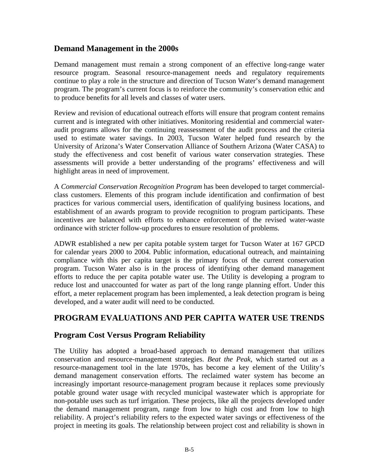### **Demand Management in the 2000s**

Demand management must remain a strong component of an effective long-range water resource program. Seasonal resource-management needs and regulatory requirements continue to play a role in the structure and direction of Tucson Water's demand management program. The program's current focus is to reinforce the community's conservation ethic and to produce benefits for all levels and classes of water users.

Review and revision of educational outreach efforts will ensure that program content remains current and is integrated with other initiatives. Monitoring residential and commercial wateraudit programs allows for the continuing reassessment of the audit process and the criteria used to estimate water savings. In 2003, Tucson Water helped fund research by the University of Arizona's Water Conservation Alliance of Southern Arizona (Water CASA) to study the effectiveness and cost benefit of various water conservation strategies. These assessments will provide a better understanding of the programs' effectiveness and will highlight areas in need of improvement.

A *Commercial Conservation Recognition Program* has been developed to target commercialclass customers. Elements of this program include identification and confirmation of best practices for various commercial users, identification of qualifying business locations, and establishment of an awards program to provide recognition to program participants. These incentives are balanced with efforts to enhance enforcement of the revised water-waste ordinance with stricter follow-up procedures to ensure resolution of problems.

ADWR established a new per capita potable system target for Tucson Water at 167 GPCD for calendar years 2000 to 2004. Public information, educational outreach, and maintaining compliance with this per capita target is the primary focus of the current conservation program. Tucson Water also is in the process of identifying other demand management efforts to reduce the per capita potable water use. The Utility is developing a program to reduce lost and unaccounted for water as part of the long range planning effort. Under this effort, a meter replacement program has been implemented, a leak detection program is being developed, and a water audit will need to be conducted.

## **PROGRAM EVALUATIONS AND PER CAPITA WATER USE TRENDS**

## **Program Cost Versus Program Reliability**

The Utility has adopted a broad-based approach to demand management that utilizes conservation and resource-management strategies. *Beat the Peak,* which started out as a resource-management tool in the late 1970s, has become a key element of the Utility's demand management conservation efforts. The reclaimed water system has become an increasingly important resource-management program because it replaces some previously potable ground water usage with recycled municipal wastewater which is appropriate for non-potable uses such as turf irrigation. These projects, like all the projects developed under the demand management program, range from low to high cost and from low to high reliability. A project's reliability refers to the expected water savings or effectiveness of the project in meeting its goals. The relationship between project cost and reliability is shown in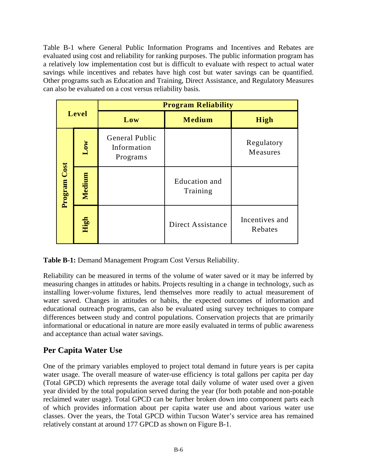Table B-1 where General Public Information Programs and Incentives and Rebates are evaluated using cost and reliability for ranking purposes. The public information program has a relatively low implementation cost but is difficult to evaluate with respect to actual water savings while incentives and rebates have high cost but water savings can be quantified. Other programs such as Education and Training, Direct Assistance, and Regulatory Measures can also be evaluated on a cost versus reliability basis.

| Level        |        | <b>Program Reliability</b>                |                                  |                           |
|--------------|--------|-------------------------------------------|----------------------------------|---------------------------|
|              |        | Low                                       | <b>Medium</b>                    | <b>High</b>               |
| Program Cost | Low    | General Public<br>Information<br>Programs |                                  | Regulatory<br>Measures    |
|              | Medium |                                           | <b>Education</b> and<br>Training |                           |
|              | High   |                                           | Direct Assistance                | Incentives and<br>Rebates |

**Table B-1:** Demand Management Program Cost Versus Reliability.

Reliability can be measured in terms of the volume of water saved or it may be inferred by measuring changes in attitudes or habits. Projects resulting in a change in technology, such as installing lower-volume fixtures, lend themselves more readily to actual measurement of water saved. Changes in attitudes or habits, the expected outcomes of information and educational outreach programs, can also be evaluated using survey techniques to compare differences between study and control populations. Conservation projects that are primarily informational or educational in nature are more easily evaluated in terms of public awareness and acceptance than actual water savings.

## **Per Capita Water Use**

One of the primary variables employed to project total demand in future years is per capita water usage. The overall measure of water-use efficiency is total gallons per capita per day (Total GPCD) which represents the average total daily volume of water used over a given year divided by the total population served during the year (for both potable and non-potable reclaimed water usage). Total GPCD can be further broken down into component parts each of which provides information about per capita water use and about various water use classes. Over the years, the Total GPCD within Tucson Water's service area has remained relatively constant at around 177 GPCD as shown on Figure B-1.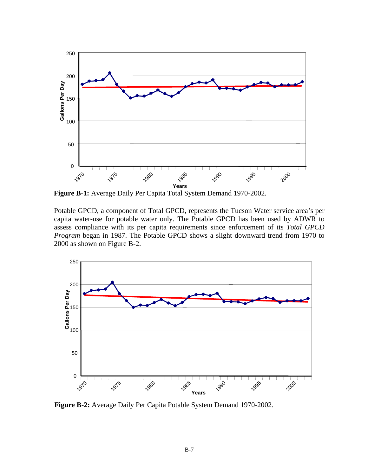

**Figure B-1:** Average Daily Per Capita Total System Demand 1970-2002.

Potable GPCD, a component of Total GPCD, represents the Tucson Water service area's per capita water-use for potable water only. The Potable GPCD has been used by ADWR to assess compliance with its per capita requirements since enforcement of its *Total GPCD Program* began in 1987. The Potable GPCD shows a slight downward trend from 1970 to 2000 as shown on Figure B-2.



**Figure B-2:** Average Daily Per Capita Potable System Demand 1970-2002.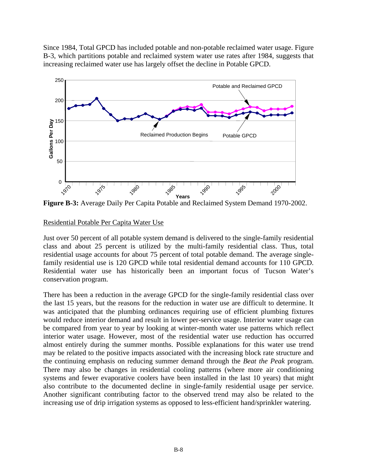Since 1984, Total GPCD has included potable and non-potable reclaimed water usage. Figure B-3, which partitions potable and reclaimed system water use rates after 1984, suggests that increasing reclaimed water use has largely offset the decline in Potable GPCD.



**Figure B-3:** Average Daily Per Capita Potable and Reclaimed System Demand 1970-2002.

### Residential Potable Per Capita Water Use

Just over 50 percent of all potable system demand is delivered to the single-family residential class and about 25 percent is utilized by the multi-family residential class. Thus, total residential usage accounts for about 75 percent of total potable demand. The average singlefamily residential use is 120 GPCD while total residential demand accounts for 110 GPCD. Residential water use has historically been an important focus of Tucson Water's conservation program.

There has been a reduction in the average GPCD for the single-family residential class over the last 15 years, but the reasons for the reduction in water use are difficult to determine. It was anticipated that the plumbing ordinances requiring use of efficient plumbing fixtures would reduce interior demand and result in lower per-service usage. Interior water usage can be compared from year to year by looking at winter-month water use patterns which reflect interior water usage. However, most of the residential water use reduction has occurred almost entirely during the summer months. Possible explanations for this water use trend may be related to the positive impacts associated with the increasing block rate structure and the continuing emphasis on reducing summer demand through the *Beat the Peak* program. There may also be changes in residential cooling patterns (where more air conditioning systems and fewer evaporative coolers have been installed in the last 10 years) that might also contribute to the documented decline in single-family residential usage per service. Another significant contributing factor to the observed trend may also be related to the increasing use of drip irrigation systems as opposed to less-efficient hand/sprinkler watering.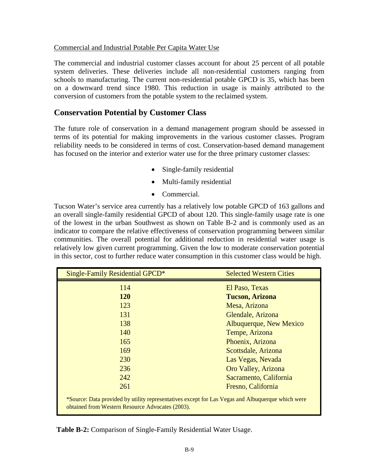#### Commercial and Industrial Potable Per Capita Water Use

The commercial and industrial customer classes account for about 25 percent of all potable system deliveries. These deliveries include all non-residential customers ranging from schools to manufacturing. The current non-residential potable GPCD is 35, which has been on a downward trend since 1980. This reduction in usage is mainly attributed to the conversion of customers from the potable system to the reclaimed system.

### **Conservation Potential by Customer Class**

The future role of conservation in a demand management program should be assessed in terms of its potential for making improvements in the various customer classes. Program reliability needs to be considered in terms of cost. Conservation-based demand management has focused on the interior and exterior water use for the three primary customer classes:

- Single-family residential
- Multi-family residential
- Commercial.

Tucson Water's service area currently has a relatively low potable GPCD of 163 gallons and an overall single-family residential GPCD of about 120. This single-family usage rate is one of the lowest in the urban Southwest as shown on Table B-2 and is commonly used as an indicator to compare the relative effectiveness of conservation programming between similar communities. The overall potential for additional reduction in residential water usage is relatively low given current programming. Given the low to moderate conservation potential in this sector, cost to further reduce water consumption in this customer class would be high.

| <b>Single-Family Residential GPCD*</b>                                                                                                                | <b>Selected Western Cities</b> |  |
|-------------------------------------------------------------------------------------------------------------------------------------------------------|--------------------------------|--|
| 114                                                                                                                                                   | El Paso, Texas                 |  |
| <b>120</b>                                                                                                                                            | <b>Tucson, Arizona</b>         |  |
| 123                                                                                                                                                   | Mesa, Arizona                  |  |
| 131                                                                                                                                                   | Glendale, Arizona              |  |
| 138                                                                                                                                                   | Albuquerque, New Mexico        |  |
| 140                                                                                                                                                   | Tempe, Arizona                 |  |
| 165                                                                                                                                                   | Phoenix, Arizona               |  |
| 169                                                                                                                                                   | Scottsdale, Arizona            |  |
| 230                                                                                                                                                   | Las Vegas, Nevada              |  |
| 236                                                                                                                                                   | Oro Valley, Arizona            |  |
| 242                                                                                                                                                   | Sacramento, California         |  |
| 261                                                                                                                                                   | Fresno, California             |  |
| *Source: Data provided by utility representatives except for Las Vegas and Albuquerque which were<br>obtained from Western Resource Advocates (2003). |                                |  |

**Table B-2:** Comparison of Single-Family Residential Water Usage.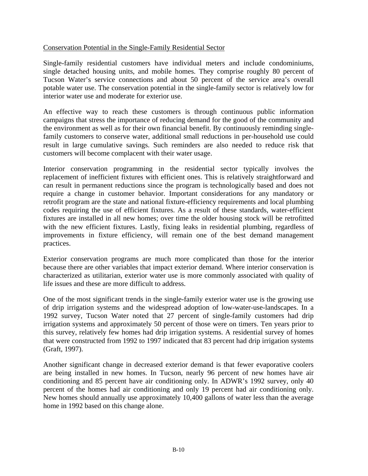#### Conservation Potential in the Single-Family Residential Sector

Single-family residential customers have individual meters and include condominiums, single detached housing units, and mobile homes. They comprise roughly 80 percent of Tucson Water's service connections and about 50 percent of the service area's overall potable water use. The conservation potential in the single-family sector is relatively low for interior water use and moderate for exterior use.

An effective way to reach these customers is through continuous public information campaigns that stress the importance of reducing demand for the good of the community and the environment as well as for their own financial benefit. By continuously reminding singlefamily customers to conserve water, additional small reductions in per-household use could result in large cumulative savings. Such reminders are also needed to reduce risk that customers will become complacent with their water usage.

Interior conservation programming in the residential sector typically involves the replacement of inefficient fixtures with efficient ones. This is relatively straightforward and can result in permanent reductions since the program is technologically based and does not require a change in customer behavior. Important considerations for any mandatory or retrofit program are the state and national fixture-efficiency requirements and local plumbing codes requiring the use of efficient fixtures. As a result of these standards, water-efficient fixtures are installed in all new homes; over time the older housing stock will be retrofitted with the new efficient fixtures. Lastly, fixing leaks in residential plumbing, regardless of improvements in fixture efficiency, will remain one of the best demand management practices.

Exterior conservation programs are much more complicated than those for the interior because there are other variables that impact exterior demand. Where interior conservation is characterized as utilitarian, exterior water use is more commonly associated with quality of life issues and these are more difficult to address.

One of the most significant trends in the single-family exterior water use is the growing use of drip irrigation systems and the widespread adoption of low-water-use-landscapes. In a 1992 survey, Tucson Water noted that 27 percent of single-family customers had drip irrigation systems and approximately 50 percent of those were on timers. Ten years prior to this survey, relatively few homes had drip irrigation systems. A residential survey of homes that were constructed from 1992 to 1997 indicated that 83 percent had drip irrigation systems (Graft, 1997).

Another significant change in decreased exterior demand is that fewer evaporative coolers are being installed in new homes. In Tucson, nearly 96 percent of new homes have air conditioning and 85 percent have air conditioning only. In ADWR's 1992 survey, only 40 percent of the homes had air conditioning and only 19 percent had air conditioning only. New homes should annually use approximately 10,400 gallons of water less than the average home in 1992 based on this change alone.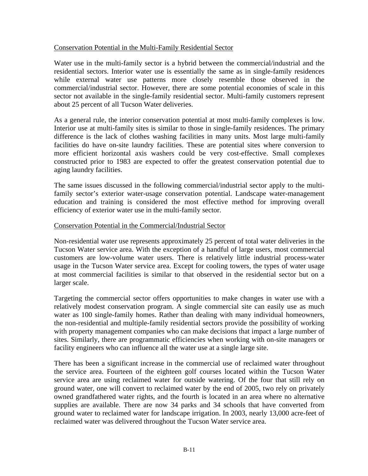#### Conservation Potential in the Multi-Family Residential Sector

Water use in the multi-family sector is a hybrid between the commercial/industrial and the residential sectors. Interior water use is essentially the same as in single-family residences while external water use patterns more closely resemble those observed in the commercial/industrial sector. However, there are some potential economies of scale in this sector not available in the single-family residential sector. Multi-family customers represent about 25 percent of all Tucson Water deliveries.

As a general rule, the interior conservation potential at most multi-family complexes is low. Interior use at multi-family sites is similar to those in single-family residences. The primary difference is the lack of clothes washing facilities in many units. Most large multi-family facilities do have on-site laundry facilities. These are potential sites where conversion to more efficient horizontal axis washers could be very cost-effective. Small complexes constructed prior to 1983 are expected to offer the greatest conservation potential due to aging laundry facilities.

The same issues discussed in the following commercial/industrial sector apply to the multifamily sector's exterior water-usage conservation potential. Landscape water-management education and training is considered the most effective method for improving overall efficiency of exterior water use in the multi-family sector.

#### Conservation Potential in the Commercial/Industrial Sector

Non-residential water use represents approximately 25 percent of total water deliveries in the Tucson Water service area. With the exception of a handful of large users, most commercial customers are low-volume water users. There is relatively little industrial process-water usage in the Tucson Water service area. Except for cooling towers, the types of water usage at most commercial facilities is similar to that observed in the residential sector but on a larger scale.

Targeting the commercial sector offers opportunities to make changes in water use with a relatively modest conservation program. A single commercial site can easily use as much water as 100 single-family homes. Rather than dealing with many individual homeowners, the non-residential and multiple-family residential sectors provide the possibility of working with property management companies who can make decisions that impact a large number of sites. Similarly, there are programmatic efficiencies when working with on-site managers or facility engineers who can influence all the water use at a single large site.

There has been a significant increase in the commercial use of reclaimed water throughout the service area. Fourteen of the eighteen golf courses located within the Tucson Water service area are using reclaimed water for outside watering. Of the four that still rely on ground water, one will convert to reclaimed water by the end of 2005, two rely on privately owned grandfathered water rights, and the fourth is located in an area where no alternative supplies are available. There are now 34 parks and 34 schools that have converted from ground water to reclaimed water for landscape irrigation. In 2003, nearly 13,000 acre-feet of reclaimed water was delivered throughout the Tucson Water service area.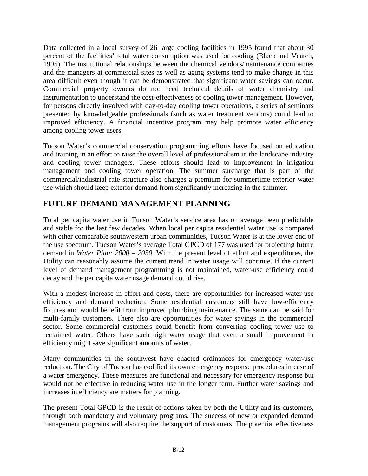Data collected in a local survey of 26 large cooling facilities in 1995 found that about 30 percent of the facilities' total water consumption was used for cooling (Black and Veatch, 1995). The institutional relationships between the chemical vendors/maintenance companies and the managers at commercial sites as well as aging systems tend to make change in this area difficult even though it can be demonstrated that significant water savings can occur. Commercial property owners do not need technical details of water chemistry and instrumentation to understand the cost-effectiveness of cooling tower management. However, for persons directly involved with day-to-day cooling tower operations, a series of seminars presented by knowledgeable professionals (such as water treatment vendors) could lead to improved efficiency. A financial incentive program may help promote water efficiency among cooling tower users.

Tucson Water's commercial conservation programming efforts have focused on education and training in an effort to raise the overall level of professionalism in the landscape industry and cooling tower managers. These efforts should lead to improvement in irrigation management and cooling tower operation. The summer surcharge that is part of the commercial/industrial rate structure also charges a premium for summertime exterior water use which should keep exterior demand from significantly increasing in the summer.

## **FUTURE DEMAND MANAGEMENT PLANNING**

Total per capita water use in Tucson Water's service area has on average been predictable and stable for the last few decades. When local per capita residential water use is compared with other comparable southwestern urban communities, Tucson Water is at the lower end of the use spectrum. Tucson Water's average Total GPCD of 177 was used for projecting future demand in *Water Plan: 2000 – 2050*. With the present level of effort and expenditures, the Utility can reasonably assume the current trend in water usage will continue. If the current level of demand management programming is not maintained, water-use efficiency could decay and the per capita water usage demand could rise.

With a modest increase in effort and costs, there are opportunities for increased water-use efficiency and demand reduction. Some residential customers still have low-efficiency fixtures and would benefit from improved plumbing maintenance. The same can be said for multi-family customers. There also are opportunities for water savings in the commercial sector. Some commercial customers could benefit from converting cooling tower use to reclaimed water. Others have such high water usage that even a small improvement in efficiency might save significant amounts of water.

Many communities in the southwest have enacted ordinances for emergency water-use reduction. The City of Tucson has codified its own emergency response procedures in case of a water emergency. These measures are functional and necessary for emergency response but would not be effective in reducing water use in the longer term. Further water savings and increases in efficiency are matters for planning.

The present Total GPCD is the result of actions taken by both the Utility and its customers, through both mandatory and voluntary programs. The success of new or expanded demand management programs will also require the support of customers. The potential effectiveness